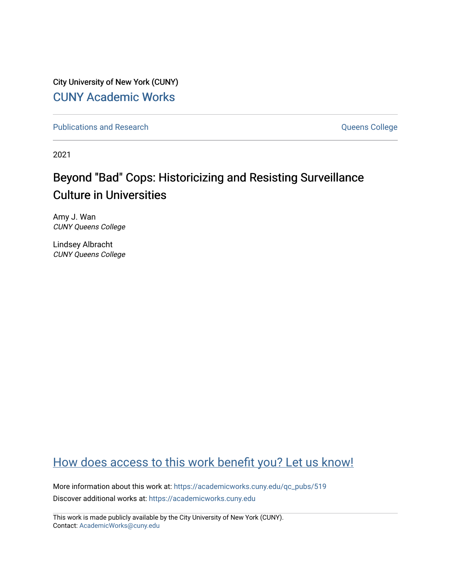City University of New York (CUNY) [CUNY Academic Works](https://academicworks.cuny.edu/) 

[Publications and Research](https://academicworks.cuny.edu/qc_pubs) **College** College and Theorem and Theorem and Theorem and Theorem and Theorem and Theorem and Theorem and Theorem and Theorem and Theorem and Theorem and Theorem and Theorem and Theorem and Theore

2021

# Beyond "Bad" Cops: Historicizing and Resisting Surveillance Culture in Universities

Amy J. Wan CUNY Queens College

Lindsey Albracht CUNY Queens College

## [How does access to this work benefit you? Let us know!](http://ols.cuny.edu/academicworks/?ref=https://academicworks.cuny.edu/qc_pubs/519)

More information about this work at: [https://academicworks.cuny.edu/qc\\_pubs/519](https://academicworks.cuny.edu/qc_pubs/519) Discover additional works at: [https://academicworks.cuny.edu](https://academicworks.cuny.edu/?)

This work is made publicly available by the City University of New York (CUNY). Contact: [AcademicWorks@cuny.edu](mailto:AcademicWorks@cuny.edu)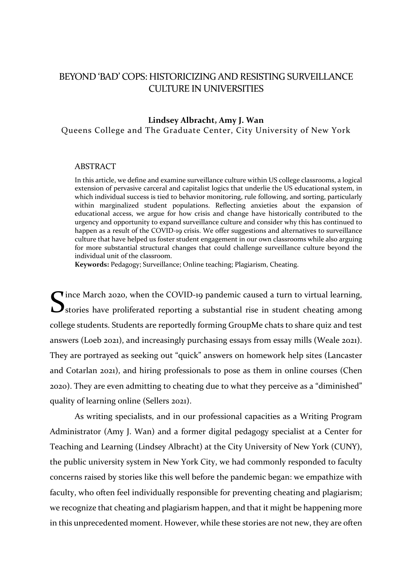## BEYOND 'BAD' COPS: HISTORICIZING AND RESISTING SURVEILLANCE **CULTURE IN UNIVERSITIES**

#### Lindsey Albracht, Amy J. Wan Queens College and The Graduate Center, City University of New York

#### ABSTRACT

In this article, we define and examine surveillance culture within US college classrooms, a logical extension of pervasive carceral and capitalist logics that underlie the US educational system, in which individual success is tied to behavior monitoring, rule following, and sorting, particularly within marginalized student populations. Reflecting anxieties about the expansion of educational access, we argue for how crisis and change have historically contributed to the urgency and opportunity to expand surveillance culture and consider why this has continued to happen as a result of the COVID-19 crisis. We offer suggestions and alternatives to surveillance culture that have helped us foster student engagement in our own classrooms while also arguing for more substantial structural changes that could challenge surveillance culture beyond the individual unit of the classroom.

Keywords: Pedagogy; Surveillance; Online teaching; Plagiarism, Cheating.

 $\bigcap$  ince March 2020, when the COVID-19 pandemic caused a turn to virtual learning, Since March 2020, when the COVID-19 pandemic caused a turn to virtual learning,<br>Stories have proliferated reporting a substantial rise in student cheating among college students. Students are reportedly forming GroupMe chats to share quiz and test answers (Loeb 2021), and increasingly purchasing essays from essay mills (Weale 2021). They are portrayed as seeking out "quick" answers on homework help sites (Lancaster and Cotarlan 2021), and hiring professionals to pose as them in online courses (Chen 2020). They are even admitting to cheating due to what they perceive as a "diminished" quality of learning online (Sellers 2021).

As writing specialists, and in our professional capacities as a Writing Program Administrator (Amy J. Wan) and a former digital pedagogy specialist at a Center for Teaching and Learning (Lindsey Albracht) at the City University of New York (CUNY), the public university system in New York City, we had commonly responded to faculty concerns raised by stories like this well before the pandemic began: we empathize with faculty, who often feel individually responsible for preventing cheating and plagiarism; we recognize that cheating and plagiarism happen, and that it might be happening more in this unprecedented moment. However, while these stories are not new, they are often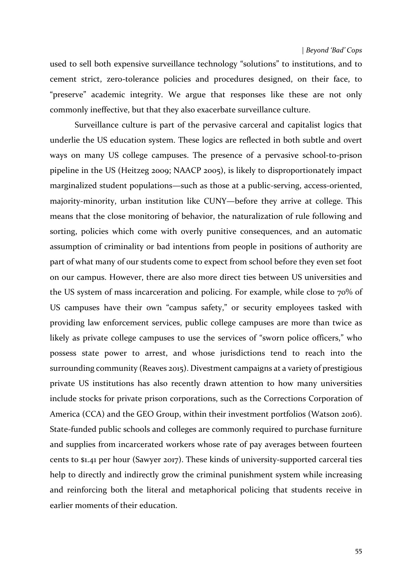used to sell both expensive surveillance technology "solutions" to institutions, and to cement strict, zero-tolerance policies and procedures designed, on their face, to "preserve" academic integrity. We argue that responses like these are not only commonly ineffective, but that they also exacerbate surveillance culture.

Surveillance culture is part of the pervasive carceral and capitalist logics that underlie the US education system. These logics are reflected in both subtle and overt ways on many US college campuses. The presence of a pervasive school-to-prison pipeline in the US (Heitzeg 2009; NAACP 2005), is likely to disproportionately impact marginalized student populations—such as those at a public-serving, access-oriented, majority-minority, urban institution like CUNY—before they arrive at college. This means that the close monitoring of behavior, the naturalization of rule following and sorting, policies which come with overly punitive consequences, and an automatic assumption of criminality or bad intentions from people in positions of authority are part of what many of our students come to expect from school before they even set foot on our campus. However, there are also more direct ties between US universities and the US system of mass incarceration and policing. For example, while close to  $70\%$  of US campuses have their own "campus safety," or security employees tasked with providing law enforcement services, public college campuses are more than twice as likely as private college campuses to use the services of "sworn police officers," who possess state power to arrest, and whose jurisdictions tend to reach into the surrounding community (Reaves 2015). Divestment campaigns at a variety of prestigious private US institutions has also recently drawn attention to how many universities include stocks for private prison corporations, such as the Corrections Corporation of America (CCA) and the GEO Group, within their investment portfolios (Watson 2016). State-funded public schools and colleges are commonly required to purchase furniture and supplies from incarcerated workers whose rate of pay averages between fourteen cents to \$1.41 per hour (Sawyer 2017). These kinds of university-supported carceral ties help to directly and indirectly grow the criminal punishment system while increasing and reinforcing both the literal and metaphorical policing that students receive in earlier moments of their education.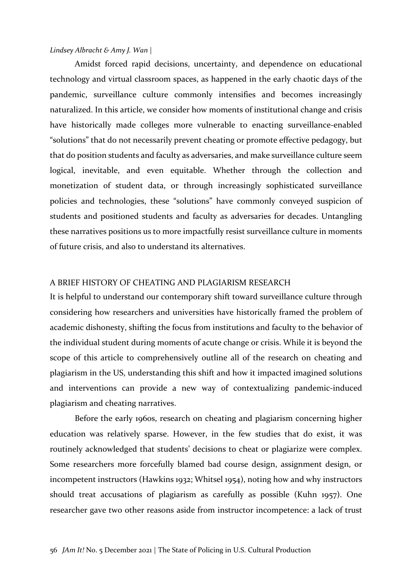Amidst forced rapid decisions, uncertainty, and dependence on educational technology and virtual classroom spaces, as happened in the early chaotic days of the pandemic, surveillance culture commonly intensifies and becomes increasingly naturalized. In this article, we consider how moments of institutional change and crisis have historically made colleges more vulnerable to enacting surveillance-enabled "solutions" that do not necessarily prevent cheating or promote effective pedagogy, but that do position students and faculty as adversaries, and make surveillance culture seem logical, inevitable, and even equitable. Whether through the collection and monetization of student data, or through increasingly sophisticated surveillance policies and technologies, these "solutions" have commonly conveyed suspicion of students and positioned students and faculty as adversaries for decades. Untangling these narratives positions us to more impactfully resist surveillance culture in moments of future crisis, and also to understand its alternatives.

#### A BRIEF HISTORY OF CHEATING AND PLAGIARISM RESEARCH

It is helpful to understand our contemporary shift toward surveillance culture through considering how researchers and universities have historically framed the problem of academic dishonesty, shifting the focus from institutions and faculty to the behavior of the individual student during moments of acute change or crisis. While it is beyond the scope of this article to comprehensively outline all of the research on cheating and plagiarism in the US, understanding this shift and how it impacted imagined solutions and interventions can provide a new way of contextualizing pandemic-induced plagiarism and cheating narratives.

Before the early 1960s, research on cheating and plagiarism concerning higher education was relatively sparse. However, in the few studies that do exist, it was routinely acknowledged that students' decisions to cheat or plagiarize were complex. Some researchers more forcefully blamed bad course design, assignment design, or incompetent instructors (Hawkins 1932; Whitsel 1954), noting how and why instructors should treat accusations of plagiarism as carefully as possible (Kuhn 1957). One researcher gave two other reasons aside from instructor incompetence: a lack of trust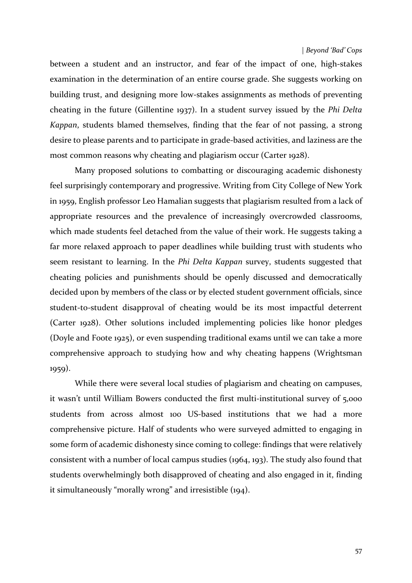between a student and an instructor, and fear of the impact of one, high-stakes examination in the determination of an entire course grade. She suggests working on building trust, and designing more low-stakes assignments as methods of preventing cheating in the future (Gillentine 1937). In a student survey issued by the *Phi Delta* Kappan, students blamed themselves, finding that the fear of not passing, a strong desire to please parents and to participate in grade-based activities, and laziness are the most common reasons why cheating and plagiarism occur (Carter 1928).

Many proposed solutions to combatting or discouraging academic dishonesty feel surprisingly contemporary and progressive. Writing from City College of New York in 1959, English professor Leo Hamalian suggests that plagiarism resulted from a lack of appropriate resources and the prevalence of increasingly overcrowded classrooms, which made students feel detached from the value of their work. He suggests taking a far more relaxed approach to paper deadlines while building trust with students who seem resistant to learning. In the *Phi Delta Kappan* survey, students suggested that cheating policies and punishments should be openly discussed and democratically decided upon by members of the class or by elected student government officials, since student-to-student disapproval of cheating would be its most impactful deterrent (Carter 1928). Other solutions included implementing policies like honor pledges (Doyle and Foote 1925), or even suspending traditional exams until we can take a more comprehensive approach to studying how and why cheating happens (Wrightsman 1959).

While there were several local studies of plagiarism and cheating on campuses, it wasn't until William Bowers conducted the first multi-institutional survey of 5,000 students from across almost 100 US-based institutions that we had a more comprehensive picture. Half of students who were surveyed admitted to engaging in some form of academic dishonesty since coming to college: findings that were relatively consistent with a number of local campus studies  $(1964, 193)$ . The study also found that students overwhelmingly both disapproved of cheating and also engaged in it, finding it simultaneously "morally wrong" and irresistible (194).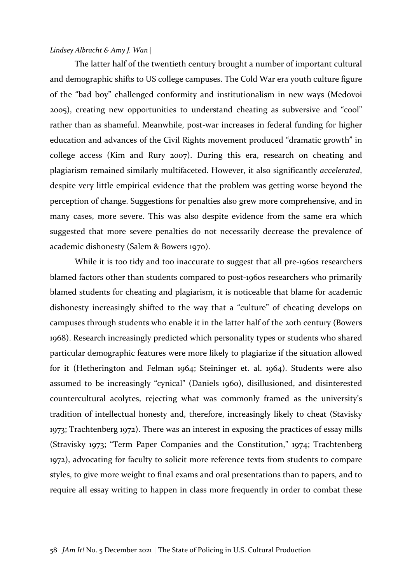The latter half of the twentieth century brought a number of important cultural and demographic shifts to US college campuses. The Cold War era youth culture figure of the "bad boy" challenged conformity and institutionalism in new ways (Medovoi 2005), creating new opportunities to understand cheating as subversive and "cool" rather than as shameful. Meanwhile, post-war increases in federal funding for higher education and advances of the Civil Rights movement produced "dramatic growth" in college access (Kim and Rury 2007). During this era, research on cheating and plagiarism remained similarly multifaceted. However, it also significantly *accelerated*, despite very little empirical evidence that the problem was getting worse beyond the perception of change. Suggestions for penalties also grew more comprehensive, and in many cases, more severe. This was also despite evidence from the same era which suggested that more severe penalties do not necessarily decrease the prevalence of academic dishonesty (Salem & Bowers 1970).

While it is too tidy and too inaccurate to suggest that all pre-1960s researchers blamed factors other than students compared to post-1960s researchers who primarily blamed students for cheating and plagiarism, it is noticeable that blame for academic dishonesty increasingly shifted to the way that a "culture" of cheating develops on campuses through students who enable it in the latter half of the 20th century (Bowers 1968). Research increasingly predicted which personality types or students who shared particular demographic features were more likely to plagiarize if the situation allowed for it (Hetherington and Felman 1964; Steininger et. al. 1964). Students were also assumed to be increasingly "cynical" (Daniels 1960), disillusioned, and disinterested countercultural acolytes, rejecting what was commonly framed as the university's tradition of intellectual honesty and, therefore, increasingly likely to cheat (Stavisky 1973; Trachtenberg 1972). There was an interest in exposing the practices of essay mills (Stravisky 1973; "Term Paper Companies and the Constitution," 1974; Trachtenberg 1972), advocating for faculty to solicit more reference texts from students to compare styles, to give more weight to final exams and oral presentations than to papers, and to require all essay writing to happen in class more frequently in order to combat these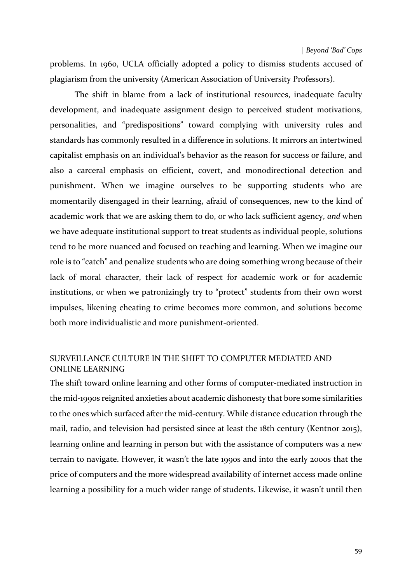problems. In 1960, UCLA officially adopted a policy to dismiss students accused of plagiarism from the university (American Association of University Professors).

The shift in blame from a lack of institutional resources, inadequate faculty development, and inadequate assignment design to perceived student motivations, personalities, and "predispositions" toward complying with university rules and standards has commonly resulted in a difference in solutions. It mirrors an intertwined capitalist emphasis on an individual's behavior as the reason for success or failure, and also a carceral emphasis on efficient, covert, and monodirectional detection and punishment. When we imagine ourselves to be supporting students who are momentarily disengaged in their learning, afraid of consequences, new to the kind of academic work that we are asking them to do, or who lack sufficient agency, *and* when we have adequate institutional support to treat students as individual people, solutions tend to be more nuanced and focused on teaching and learning. When we imagine our role is to "catch" and penalize students who are doing something wrong because of their lack of moral character, their lack of respect for academic work or for academic institutions, or when we patronizingly try to "protect" students from their own worst impulses, likening cheating to crime becomes more common, and solutions become both more individualistic and more punishment-oriented.

### SURVEILLANCE CULTURE IN THE SHIFT TO COMPUTER MEDIATED AND ONLINE LEARNING

The shift toward online learning and other forms of computer-mediated instruction in the mid-1990s reignited anxieties about academic dishonesty that bore some similarities to the ones which surfaced after the mid-century. While distance education through the mail, radio, and television had persisted since at least the 18th century (Kentnor 2015), learning online and learning in person but with the assistance of computers was a new terrain to navigate. However, it wasn't the late 1990s and into the early 2000s that the price of computers and the more widespread availability of internet access made online learning a possibility for a much wider range of students. Likewise, it wasn't until then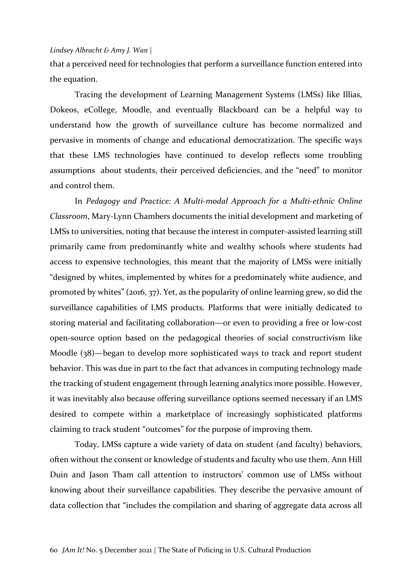that a perceived need for technologies that perform a surveillance function entered into the equation.

Tracing the development of Learning Management Systems (LMSs) like Illias, Dokeos, eCollege, Moodle, and eventually Blackboard can be a helpful way to understand how the growth of surveillance culture has become normalized and pervasive in moments of change and educational democratization. The specific ways that these LMS technologies have continued to develop reflects some troubling assumptions about students, their perceived deficiencies, and the "need" to monitor and control them.

In Pedagogy and Practice: A Multi-modal Approach for a Multi-ethnic Online *Classroom*, Mary-Lynn Chambers documents the initial development and marketing of LMSs to universities, noting that because the interest in computer-assisted learning still primarily came from predominantly white and wealthy schools where students had access to expensive technologies, this meant that the majority of LMSs were initially "designed by whites, implemented by whites for a predominately white audience, and promoted by whites"  $(2016, 37)$ . Yet, as the popularity of online learning grew, so did the surveillance capabilities of LMS products. Platforms that were initially dedicated to storing material and facilitating collaboration—or even to providing a free or low-cost open-source option based on the pedagogical theories of social constructivism like Moodle  $(38)$ —began to develop more sophisticated ways to track and report student behavior. This was due in part to the fact that advances in computing technology made the tracking of student engagement through learning analytics more possible. However, it was inevitably also because offering surveillance options seemed necessary if an LMS desired to compete within a marketplace of increasingly sophisticated platforms claiming to track student "outcomes" for the purpose of improving them.

Today, LMSs capture a wide variety of data on student (and faculty) behaviors, often without the consent or knowledge of students and faculty who use them. Ann Hill Duin and Jason Tham call attention to instructors' common use of LMSs without knowing about their surveillance capabilities. They describe the pervasive amount of data collection that "includes the compilation and sharing of aggregate data across all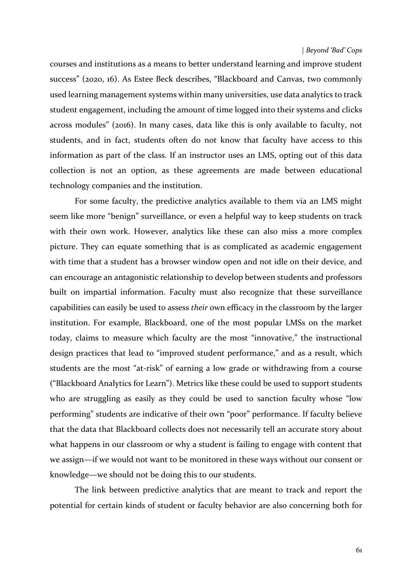courses and institutions as a means to better understand learning and improve student success" (2020, 16). As Estee Beck describes, "Blackboard and Canvas, two commonly used learning management systems within many universities, use data analytics to track student engagement, including the amount of time logged into their systems and clicks across modules" (2016). In many cases, data like this is only available to faculty, not students, and in fact, students often do not know that faculty have access to this information as part of the class. If an instructor uses an LMS, opting out of this data collection is not an option, as these agreements are made between educational technology companies and the institution.

For some faculty, the predictive analytics available to them via an LMS might seem like more "benign" surveillance, or even a helpful way to keep students on track with their own work. However, analytics like these can also miss a more complex picture. They can equate something that is as complicated as academic engagement with time that a student has a browser window open and not idle on their device, and can encourage an antagonistic relationship to develop between students and professors built on impartial information. Faculty must also recognize that these surveillance capabilities can easily be used to assess *their* own efficacy in the classroom by the larger institution. For example, Blackboard, one of the most popular LMSs on the market today, claims to measure which faculty are the most "innovative," the instructional design practices that lead to "improved student performance," and as a result, which students are the most "at-risk" of earning a low grade or withdrawing from a course ("Blackboard Analytics for Learn"). Metrics like these could be used to support students who are struggling as easily as they could be used to sanction faculty whose "low performing" students are indicative of their own "poor" performance. If faculty believe that the data that Blackboard collects does not necessarily tell an accurate story about what happens in our classroom or why a student is failing to engage with content that we assign—if we would not want to be monitored in these ways without our consent or knowledge—we should not be doing this to our students.

The link between predictive analytics that are meant to track and report the potential for certain kinds of student or faculty behavior are also concerning both for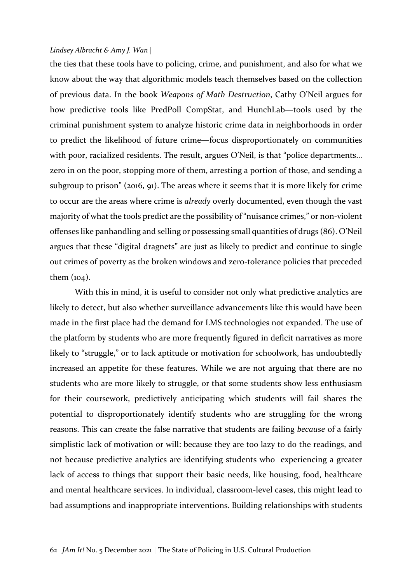the ties that these tools have to policing, crime, and punishment, and also for what we know about the way that algorithmic models teach themselves based on the collection of previous data. In the book *Weapons of Math Destruction*, Cathy O'Neil argues for how predictive tools like PredPoll CompStat, and HunchLab—tools used by the criminal punishment system to analyze historic crime data in neighborhoods in order to predict the likelihood of future crime—focus disproportionately on communities with poor, racialized residents. The result, argues O'Neil, is that "police departments... zero in on the poor, stopping more of them, arresting a portion of those, and sending a subgroup to prison"  $(2016, 91)$ . The areas where it seems that it is more likely for crime to occur are the areas where crime is *already* overly documented, even though the vast majority of what the tools predict are the possibility of "nuisance crimes," or non-violent offenses like panhandling and selling or possessing small quantities of drugs (86). O'Neil argues that these "digital dragnets" are just as likely to predict and continue to single out crimes of poverty as the broken windows and zero-tolerance policies that preceded them  $(104)$ .

With this in mind, it is useful to consider not only what predictive analytics are likely to detect, but also whether surveillance advancements like this would have been made in the first place had the demand for LMS technologies not expanded. The use of the platform by students who are more frequently figured in deficit narratives as more likely to "struggle," or to lack aptitude or motivation for schoolwork, has undoubtedly increased an appetite for these features. While we are not arguing that there are no students who are more likely to struggle, or that some students show less enthusiasm for their coursework, predictively anticipating which students will fail shares the potential to disproportionately identify students who are struggling for the wrong reasons. This can create the false narrative that students are failing *because* of a fairly simplistic lack of motivation or will: because they are too lazy to do the readings, and not because predictive analytics are identifying students who experiencing a greater lack of access to things that support their basic needs, like housing, food, healthcare and mental healthcare services. In individual, classroom-level cases, this might lead to bad assumptions and inappropriate interventions. Building relationships with students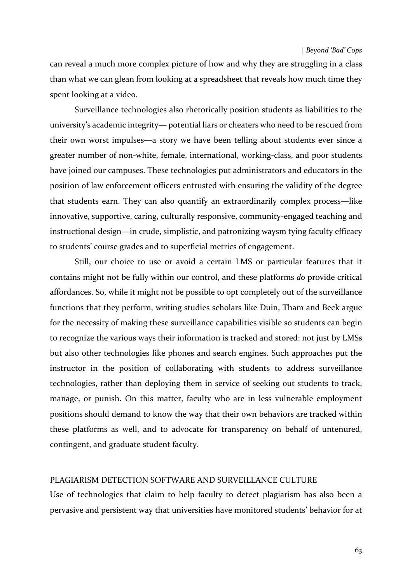can reveal a much more complex picture of how and why they are struggling in a class than what we can glean from looking at a spreadsheet that reveals how much time they spent looking at a video.

Surveillance technologies also rhetorically position students as liabilities to the university's academic integrity— potential liars or cheaters who need to be rescued from their own worst impulses—a story we have been telling about students ever since a greater number of non-white, female, international, working-class, and poor students have joined our campuses. These technologies put administrators and educators in the position of law enforcement officers entrusted with ensuring the validity of the degree that students earn. They can also quantify an extraordinarily complex process—like innovative, supportive, caring, culturally responsive, community-engaged teaching and instructional design—in crude, simplistic, and patronizing waysm tying faculty efficacy to students' course grades and to superficial metrics of engagement.

Still, our choice to use or avoid a certain LMS or particular features that it contains might not be fully within our control, and these platforms *do* provide critical affordances. So, while it might not be possible to opt completely out of the surveillance functions that they perform, writing studies scholars like Duin, Tham and Beck argue for the necessity of making these surveillance capabilities visible so students can begin to recognize the various ways their information is tracked and stored: not just by LMSs but also other technologies like phones and search engines. Such approaches put the instructor in the position of collaborating with students to address surveillance technologies, rather than deploying them in service of seeking out students to track, manage, or punish. On this matter, faculty who are in less vulnerable employment positions should demand to know the way that their own behaviors are tracked within these platforms as well, and to advocate for transparency on behalf of untenured, contingent, and graduate student faculty.

#### PLAGIARISM DETECTION SOFTWARE AND SURVEILLANCE CULTURE

Use of technologies that claim to help faculty to detect plagiarism has also been a pervasive and persistent way that universities have monitored students' behavior for at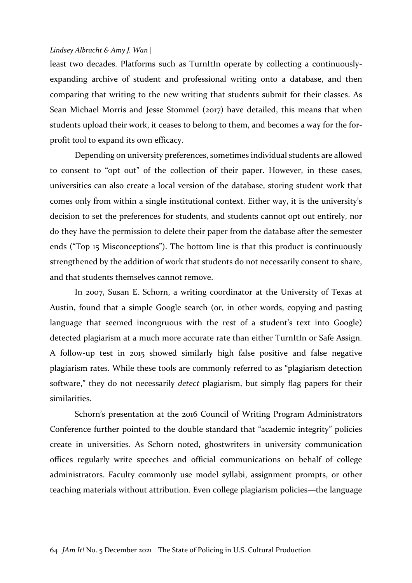least two decades. Platforms such as TurnItIn operate by collecting a continuouslyexpanding archive of student and professional writing onto a database, and then comparing that writing to the new writing that students submit for their classes. As Sean Michael Morris and Jesse Stommel (2017) have detailed, this means that when students upload their work, it ceases to belong to them, and becomes a way for the forprofit tool to expand its own efficacy.

Depending on university preferences, sometimes individual students are allowed to consent to "opt out" of the collection of their paper. However, in these cases, universities can also create a local version of the database, storing student work that comes only from within a single institutional context. Either way, it is the university's decision to set the preferences for students, and students cannot opt out entirely, nor do they have the permission to delete their paper from the database after the semester ends ("Top 15 Misconceptions"). The bottom line is that this product is continuously strengthened by the addition of work that students do not necessarily consent to share, and that students themselves cannot remove.

In 2007, Susan E. Schorn, a writing coordinator at the University of Texas at Austin, found that a simple Google search (or, in other words, copying and pasting language that seemed incongruous with the rest of a student's text into Google) detected plagiarism at a much more accurate rate than either TurnItIn or Safe Assign. A follow-up test in 2015 showed similarly high false positive and false negative plagiarism rates. While these tools are commonly referred to as "plagiarism detection software," they do not necessarily *detect* plagiarism, but simply flag papers for their similarities.

Schorn's presentation at the 2016 Council of Writing Program Administrators Conference further pointed to the double standard that "academic integrity" policies create in universities. As Schorn noted, ghostwriters in university communication offices regularly write speeches and official communications on behalf of college administrators. Faculty commonly use model syllabi, assignment prompts, or other teaching materials without attribution. Even college plagiarism policies—the language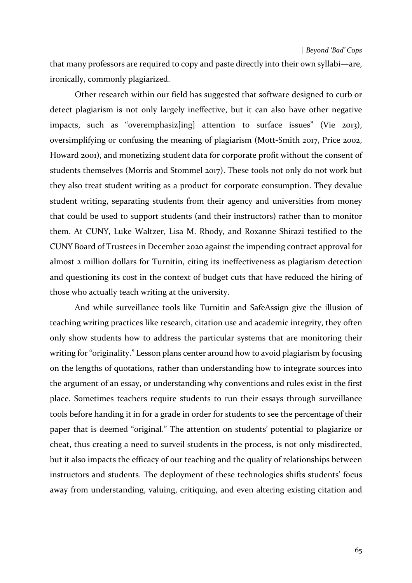that many professors are required to copy and paste directly into their own syllabi—are, ironically, commonly plagiarized.

Other research within our field has suggested that software designed to curb or detect plagiarism is not only largely ineffective, but it can also have other negative impacts, such as "overemphasiz[ing] attention to surface issues" (Vie 2013), oversimplifying or confusing the meaning of plagiarism (Mott-Smith 2017, Price 2002, Howard 2001), and monetizing student data for corporate profit without the consent of students themselves (Morris and Stommel 2017). These tools not only do not work but they also treat student writing as a product for corporate consumption. They devalue student writing, separating students from their agency and universities from money that could be used to support students (and their instructors) rather than to monitor them. At CUNY, Luke Waltzer, Lisa M. Rhody, and Roxanne Shirazi testified to the CUNY Board of Trustees in December 2020 against the impending contract approval for almost 2 million dollars for Turnitin, citing its ineffectiveness as plagiarism detection and questioning its cost in the context of budget cuts that have reduced the hiring of those who actually teach writing at the university.

And while surveillance tools like Turnitin and SafeAssign give the illusion of teaching writing practices like research, citation use and academic integrity, they often only show students how to address the particular systems that are monitoring their writing for "originality." Lesson plans center around how to avoid plagiarism by focusing on the lengths of quotations, rather than understanding how to integrate sources into the argument of an essay, or understanding why conventions and rules exist in the first place. Sometimes teachers require students to run their essays through surveillance tools before handing it in for a grade in order for students to see the percentage of their paper that is deemed "original." The attention on students' potential to plagiarize or cheat, thus creating a need to surveil students in the process, is not only misdirected, but it also impacts the efficacy of our teaching and the quality of relationships between instructors and students. The deployment of these technologies shifts students' focus away from understanding, valuing, critiquing, and even altering existing citation and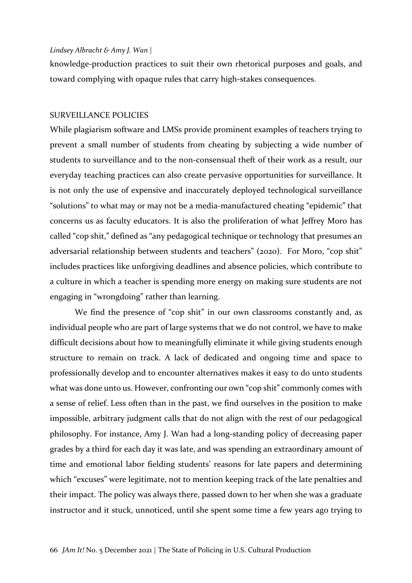knowledge-production practices to suit their own rhetorical purposes and goals, and toward complying with opaque rules that carry high-stakes consequences.

#### SURVEILLANCE POLICIES

While plagiarism software and LMSs provide prominent examples of teachers trying to prevent a small number of students from cheating by subjecting a wide number of students to surveillance and to the non-consensual theft of their work as a result, our everyday teaching practices can also create pervasive opportunities for surveillance. It is not only the use of expensive and inaccurately deployed technological surveillance "solutions" to what may or may not be a media-manufactured cheating "epidemic" that concerns us as faculty educators. It is also the proliferation of what Jeffrey Moro has called "cop shit," defined as "any pedagogical technique or technology that presumes an adversarial relationship between students and teachers" (2020). For Moro, "cop shit" includes practices like unforgiving deadlines and absence policies, which contribute to a culture in which a teacher is spending more energy on making sure students are not engaging in "wrongdoing" rather than learning.

We find the presence of "cop shit" in our own classrooms constantly and, as individual people who are part of large systems that we do not control, we have to make difficult decisions about how to meaningfully eliminate it while giving students enough structure to remain on track. A lack of dedicated and ongoing time and space to professionally develop and to encounter alternatives makes it easy to do unto students what was done unto us. However, confronting our own "cop shit" commonly comes with a sense of relief. Less often than in the past, we find ourselves in the position to make impossible, arbitrary judgment calls that do not align with the rest of our pedagogical philosophy. For instance, Amy J. Wan had a long-standing policy of decreasing paper grades by a third for each day it was late, and was spending an extraordinary amount of time and emotional labor fielding students' reasons for late papers and determining which "excuses" were legitimate, not to mention keeping track of the late penalties and their impact. The policy was always there, passed down to her when she was a graduate instructor and it stuck, unnoticed, until she spent some time a few years ago trying to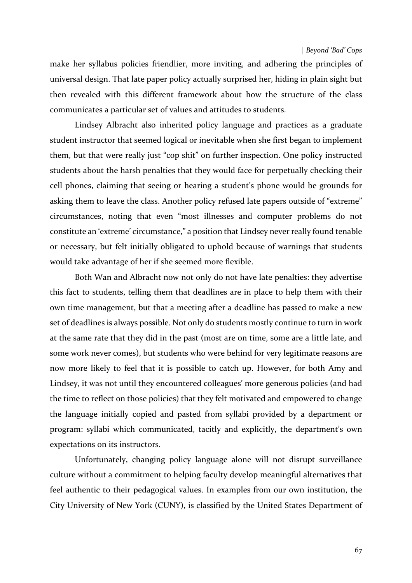make her syllabus policies friendlier, more inviting, and adhering the principles of universal design. That late paper policy actually surprised her, hiding in plain sight but then revealed with this different framework about how the structure of the class communicates a particular set of values and attitudes to students.

Lindsey Albracht also inherited policy language and practices as a graduate student instructor that seemed logical or inevitable when she first began to implement them, but that were really just "cop shit" on further inspection. One policy instructed students about the harsh penalties that they would face for perpetually checking their cell phones, claiming that seeing or hearing a student's phone would be grounds for asking them to leave the class. Another policy refused late papers outside of "extreme" circumstances, noting that even "most illnesses and computer problems do not constitute an 'extreme' circumstance," a position that Lindsey never really found tenable or necessary, but felt initially obligated to uphold because of warnings that students would take advantage of her if she seemed more flexible.

Both Wan and Albracht now not only do not have late penalties: they advertise this fact to students, telling them that deadlines are in place to help them with their own time management, but that a meeting after a deadline has passed to make a new set of deadlines is always possible. Not only do students mostly continue to turn in work at the same rate that they did in the past (most are on time, some are a little late, and some work never comes), but students who were behind for very legitimate reasons are now more likely to feel that it is possible to catch up. However, for both Amy and Lindsey, it was not until they encountered colleagues' more generous policies (and had the time to reflect on those policies) that they felt motivated and empowered to change the language initially copied and pasted from syllabi provided by a department or program: syllabi which communicated, tacitly and explicitly, the department's own expectations on its instructors.

Unfortunately, changing policy language alone will not disrupt surveillance culture without a commitment to helping faculty develop meaningful alternatives that feel authentic to their pedagogical values. In examples from our own institution, the City University of New York (CUNY), is classified by the United States Department of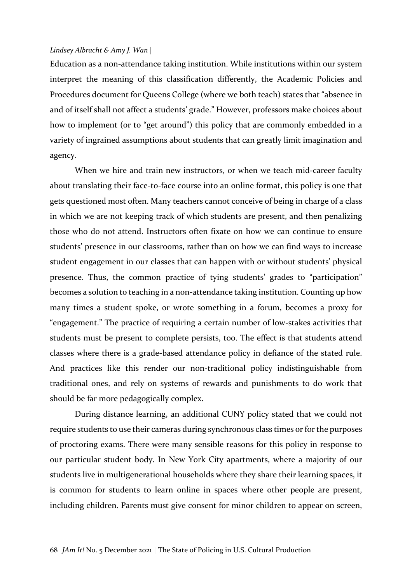Education as a non-attendance taking institution. While institutions within our system interpret the meaning of this classification differently, the Academic Policies and Procedures document for Queens College (where we both teach) states that "absence in and of itself shall not affect a students' grade." However, professors make choices about how to implement (or to "get around") this policy that are commonly embedded in a variety of ingrained assumptions about students that can greatly limit imagination and agency.

When we hire and train new instructors, or when we teach mid-career faculty about translating their face-to-face course into an online format, this policy is one that gets questioned most often. Many teachers cannot conceive of being in charge of a class in which we are not keeping track of which students are present, and then penalizing those who do not attend. Instructors often fixate on how we can continue to ensure students' presence in our classrooms, rather than on how we can find ways to increase student engagement in our classes that can happen with or without students' physical presence. Thus, the common practice of tying students' grades to "participation" becomes a solution to teaching in a non-attendance taking institution. Counting up how many times a student spoke, or wrote something in a forum, becomes a proxy for "engagement." The practice of requiring a certain number of low-stakes activities that students must be present to complete persists, too. The effect is that students attend classes where there is a grade-based attendance policy in defiance of the stated rule. And practices like this render our non-traditional policy indistinguishable from traditional ones, and rely on systems of rewards and punishments to do work that should be far more pedagogically complex.

During distance learning, an additional CUNY policy stated that we could not require students to use their cameras during synchronous class times or for the purposes of proctoring exams. There were many sensible reasons for this policy in response to our particular student body. In New York City apartments, where a majority of our students live in multigenerational households where they share their learning spaces, it is common for students to learn online in spaces where other people are present, including children. Parents must give consent for minor children to appear on screen,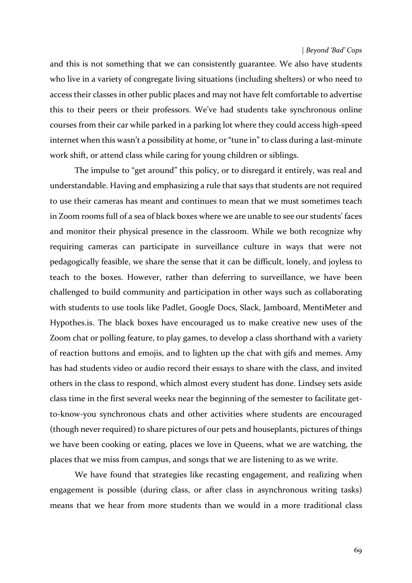and this is not something that we can consistently guarantee. We also have students who live in a variety of congregate living situations (including shelters) or who need to access their classes in other public places and may not have felt comfortable to advertise this to their peers or their professors. We've had students take synchronous online courses from their car while parked in a parking lot where they could access high-speed internet when this wasn't a possibility at home, or "tune in" to class during a last-minute work shift, or attend class while caring for young children or siblings.

The impulse to "get around" this policy, or to disregard it entirely, was real and understandable. Having and emphasizing a rule that says that students are not required to use their cameras has meant and continues to mean that we must sometimes teach in Zoom rooms full of a sea of black boxes where we are unable to see our students' faces and monitor their physical presence in the classroom. While we both recognize why requiring cameras can participate in surveillance culture in ways that were not pedagogically feasible, we share the sense that it can be difficult, lonely, and joyless to teach to the boxes. However, rather than deferring to surveillance, we have been challenged to build community and participation in other ways such as collaborating with students to use tools like Padlet, Google Docs, Slack, Jamboard, MentiMeter and Hypothes. is. The black boxes have encouraged us to make creative new uses of the Zoom chat or polling feature, to play games, to develop a class shorthand with a variety of reaction buttons and emojis, and to lighten up the chat with gifs and memes. Amy has had students video or audio record their essays to share with the class, and invited others in the class to respond, which almost every student has done. Lindsey sets aside class time in the first several weeks near the beginning of the semester to facilitate getto-know-you synchronous chats and other activities where students are encouraged (though never required) to share pictures of our pets and houseplants, pictures of things we have been cooking or eating, places we love in Queens, what we are watching, the places that we miss from campus, and songs that we are listening to as we write.

We have found that strategies like recasting engagement, and realizing when engagement is possible (during class, or after class in asynchronous writing tasks) means that we hear from more students than we would in a more traditional class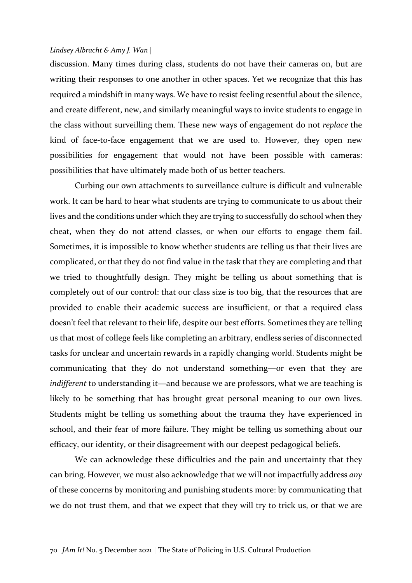discussion. Many times during class, students do not have their cameras on, but are writing their responses to one another in other spaces. Yet we recognize that this has required a mindshift in many ways. We have to resist feeling resentful about the silence, and create different, new, and similarly meaningful ways to invite students to engage in the class without surveilling them. These new ways of engagement do not *replace* the kind of face-to-face engagement that we are used to. However, they open new possibilities for engagement that would not have been possible with cameras: possibilities that have ultimately made both of us better teachers.

Curbing our own attachments to surveillance culture is difficult and vulnerable work. It can be hard to hear what students are trying to communicate to us about their lives and the conditions under which they are trying to successfully do school when they cheat, when they do not attend classes, or when our efforts to engage them fail. Sometimes, it is impossible to know whether students are telling us that their lives are complicated, or that they do not find value in the task that they are completing and that we tried to thoughtfully design. They might be telling us about something that is completely out of our control: that our class size is too big, that the resources that are provided to enable their academic success are insufficient, or that a required class doesn't feel that relevant to their life, despite our best efforts. Sometimes they are telling us that most of college feels like completing an arbitrary, endless series of disconnected tasks for unclear and uncertain rewards in a rapidly changing world. Students might be communicating that they do not understand something—or even that they are *indifferent* to understanding it—and because we are professors, what we are teaching is likely to be something that has brought great personal meaning to our own lives. Students might be telling us something about the trauma they have experienced in school, and their fear of more failure. They might be telling us something about our efficacy, our identity, or their disagreement with our deepest pedagogical beliefs.

We can acknowledge these difficulties and the pain and uncertainty that they can bring. However, we must also acknowledge that we will not impactfully address *any* of these concerns by monitoring and punishing students more: by communicating that we do not trust them, and that we expect that they will try to trick us, or that we are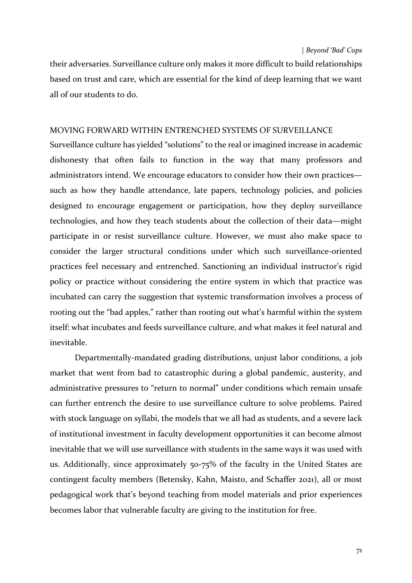their adversaries. Surveillance culture only makes it more difficult to build relationships based on trust and care, which are essential for the kind of deep learning that we want all of our students to do.

#### MOVING FORWARD WITHIN ENTRENCHED SYSTEMS OF SURVEILLANCE

Surveillance culture has yielded "solutions" to the real or imagined increase in academic dishonesty that often fails to function in the way that many professors and administrators intend. We encourage educators to consider how their own practices such as how they handle attendance, late papers, technology policies, and policies designed to encourage engagement or participation, how they deploy surveillance technologies, and how they teach students about the collection of their data—might participate in or resist surveillance culture. However, we must also make space to consider the larger structural conditions under which such surveillance-oriented practices feel necessary and entrenched. Sanctioning an individual instructor's rigid policy or practice without considering the entire system in which that practice was incubated can carry the suggestion that systemic transformation involves a process of rooting out the "bad apples," rather than rooting out what's harmful within the system itself: what incubates and feeds surveillance culture, and what makes it feel natural and inevitable.

Departmentally-mandated grading distributions, unjust labor conditions, a job market that went from bad to catastrophic during a global pandemic, austerity, and administrative pressures to "return to normal" under conditions which remain unsafe can further entrench the desire to use surveillance culture to solve problems. Paired with stock language on syllabi, the models that we all had as students, and a severe lack of institutional investment in faculty development opportunities it can become almost inevitable that we will use surveillance with students in the same ways it was used with us. Additionally, since approximately 50-75% of the faculty in the United States are contingent faculty members (Betensky, Kahn, Maisto, and Schaffer 2021), all or most pedagogical work that's beyond teaching from model materials and prior experiences becomes labor that vulnerable faculty are giving to the institution for free.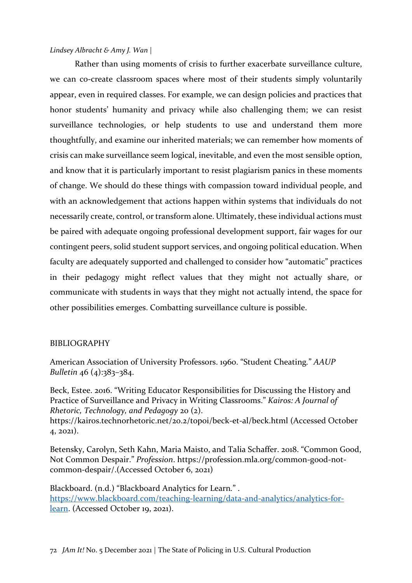Rather than using moments of crisis to further exacerbate surveillance culture, we can co-create classroom spaces where most of their students simply voluntarily appear, even in required classes. For example, we can design policies and practices that honor students' humanity and privacy while also challenging them; we can resist surveillance technologies, or help students to use and understand them more thoughtfully, and examine our inherited materials; we can remember how moments of crisis can make surveillance seem logical, inevitable, and even the most sensible option, and know that it is particularly important to resist plagiarism panics in these moments of change. We should do these things with compassion toward individual people, and with an acknowledgement that actions happen within systems that individuals do not necessarily create, control, or transform alone. Ultimately, these individual actions must be paired with adequate ongoing professional development support, fair wages for our contingent peers, solid student support services, and ongoing political education. When faculty are adequately supported and challenged to consider how "automatic" practices in their pedagogy might reflect values that they might not actually share, or communicate with students in ways that they might not actually intend, the space for other possibilities emerges. Combatting surveillance culture is possible.

#### BIBLIOGRAPHY

American Association of University Professors. 1960. "Student Cheating*.*" *AAUP Bulletin* 46 (4):383-384.

Beck, Estee. 2016. "Writing Educator Responsibilities for Discussing the History and Practice of Surveillance and Privacy in Writing Classrooms." *Kairos: A Journal of Rhetoric, Technology, and Pedagogy 20 (2).* https://kairos.technorhetoric.net/20.2/topoi/beck-et-al/beck.html (Accessed October  $(4, 2021)$ .

Betensky, Carolyn, Seth Kahn, Maria Maisto, and Talia Schaffer. 2018. "Common Good, Not Common Despair." *Profession*. https://profession.mla.org/common-good-notcommon-despair/.(Accessed October 6, 2021)

Blackboard. (n.d.) "Blackboard Analytics for Learn." . https://www.blackboard.com/teaching-learning/data-and-analytics/analytics-forlearn. (Accessed October 19, 2021).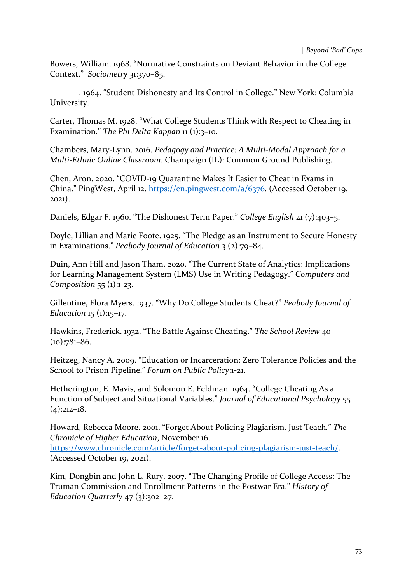Bowers, William. 1968. "Normative Constraints on Deviant Behavior in the College Context." *Sociometry* 31:370–85.

\_\_\_\_\_\_\_. 1964. "Student Dishonesty and Its Control in College." New York: Columbia University.

Carter, Thomas M. 1928. "What College Students Think with Respect to Cheating in Examination." The Phi Delta Kappan 11 (1):3-10.

Chambers, Mary-Lynn. 2016. *Pedagogy and Practice: A Multi-Modal Approach for a Multi-Ethnic Online Classroom.* Champaign (IL): Common Ground Publishing.

Chen, Aron. 2020. "COVID-19 Ouarantine Makes It Easier to Cheat in Exams in China." PingWest, April 12. https://en.pingwest.com/a/6376. (Accessed October 19, 2021).

Daniels, Edgar F. 1960. "The Dishonest Term Paper." *College English* 21 (7):403-5.

Doyle, Lillian and Marie Foote. 1925. "The Pledge as an Instrument to Secure Honesty in Examinations." *Peabody Journal of Education* 3 (2):79-84.

Duin, Ann Hill and Jason Tham. 2020. "The Current State of Analytics: Implications for Learning Management System (LMS) Use in Writing Pedagogy." Computers and *Composition* 55 (1):1-23.

Gillentine, Flora Myers. 1937. "Why Do College Students Cheat?" *Peabody Journal of Education* 15 (1):15-17.

Hawkins, Frederick. 1932. "The Battle Against Cheating." The School Review 40  $(10):781-86.$ 

Heitzeg, Nancy A. 2009. "Education or Incarceration: Zero Tolerance Policies and the School to Prison Pipeline." Forum on Public Policy:1-21.

Hetherington, E. Mavis, and Solomon E. Feldman. 1964. "College Cheating As a Function of Subject and Situational Variables." *Journal of Educational Psychology* 55  $(4):212-18.$ 

Howard, Rebecca Moore. 2001. "Forget About Policing Plagiarism. Just Teach." The *Chronicle of Higher Education*, November 16.

https://www.chronicle.com/article/forget-about-policing-plagiarism-just-teach/. (Accessed October 19, 2021).

Kim, Dongbin and John L. Rury. 2007. "The Changing Profile of College Access: The Truman Commission and Enrollment Patterns in the Postwar Era." *History of Education Quarterly* 47 (3):302–27.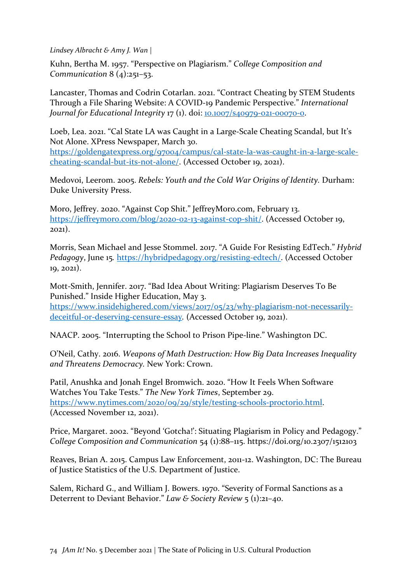Kuhn, Bertha M. 1957. "Perspective on Plagiarism." College Composition and *Communication* 8 (4):251–53.

Lancaster, Thomas and Codrin Cotarlan. 2021. "Contract Cheating by STEM Students Through a File Sharing Website: A COVID-19 Pandemic Perspective." *International Journal for Educational Integrity* 17 (1). doi: <u>10.1007/s40979-021-00070-0</u>.

Loeb, Lea. 2021. "Cal State LA was Caught in a Large-Scale Cheating Scandal, but It's Not Alone. XPress Newspaper, March 30. https://goldengatexpress.org/97004/campus/cal-state-la-was-caught-in-a-large-scalecheating-scandal-but-its-not-alone/. (Accessed October 19, 2021).

Medovoi, Leerom. 2005. *Rebels: Youth and the Cold War Origins of Identity*. Durham: Duke University Press.

Moro, Jeffrey. 2020. "Against Cop Shit." JeffreyMoro.com, February 13. https://jeffreymoro.com/blog/2020-02-13-against-cop-shit/. (Accessed October 19, 2021).

Morris, Sean Michael and Jesse Stommel. 2017. "A Guide For Resisting EdTech." *Hybrid Pedagogy*, June 15. https://hybridpedagogy.org/resisting-edtech/. (Accessed October 19, 2021).

Mott-Smith, Jennifer. 2017. "Bad Idea About Writing: Plagiarism Deserves To Be Punished." Inside Higher Education, May 3. https://www.insidehighered.com/views/2017/05/23/why-plagiarism-not-necessarilydeceitful-or-deserving-censure-essay. (Accessed October 19, 2021).

NAACP. 2005. "Interrupting the School to Prison Pipe-line." Washington DC.

O'Neil, Cathy. 2016. *Weapons of Math Destruction: How Big Data Increases Inequality* and Threatens Democracy. New York: Crown.

Patil, Anushka and Jonah Engel Bromwich. 2020. "How It Feels When Software Watches You Take Tests." The New York Times, September 29. https://www.nytimes.com/2020/09/29/style/testing-schools-proctorio.html. (Accessed November 12, 2021).

Price, Margaret. 2002. "Beyond 'Gotcha!': Situating Plagiarism in Policy and Pedagogy." *College Composition and Communication* 54 (1):88–115. https://doi.org/10.2307/1512103

Reaves, Brian A. 2015. Campus Law Enforcement, 2011-12. Washington, DC: The Bureau of Justice Statistics of the U.S. Department of Justice.

Salem, Richard G., and William J. Bowers. 1970. "Severity of Formal Sanctions as a Deterrent to Deviant Behavior." *Law & Society Review* 5 (1):21-40.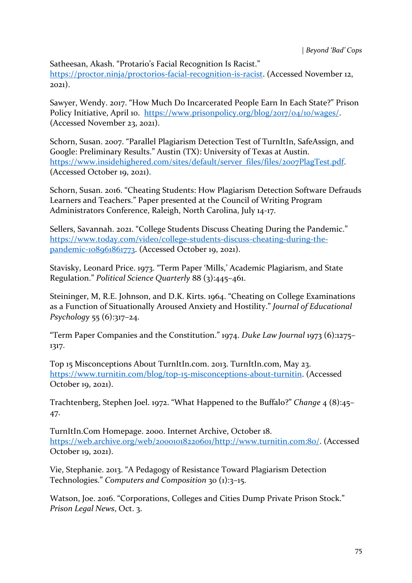Satheesan, Akash. "Protario's Facial Recognition Is Racist." https://proctor.ninja/proctorios-facial-recognition-is-racist. (Accessed November 12, 2021).

Sawyer, Wendy. 2017. "How Much Do Incarcerated People Earn In Each State?" Prison Policy Initiative, April 10. https://www.prisonpolicy.org/blog/2017/04/10/wages/. (Accessed November 23, 2021).

Schorn, Susan. 2007. "Parallel Plagiarism Detection Test of TurnItIn, SafeAssign, and Google: Preliminary Results." Austin (TX): University of Texas at Austin. https://www.insidehighered.com/sites/default/server\_files/files/2007PlagTest.pdf. (Accessed October 19, 2021).

Schorn, Susan. 2016. "Cheating Students: How Plagiarism Detection Software Defrauds Learners and Teachers." Paper presented at the Council of Writing Program Administrators Conference, Raleigh, North Carolina, July 14-17.

Sellers, Savannah. 2021. "College Students Discuss Cheating During the Pandemic." https://www.today.com/video/college-students-discuss-cheating-during-thepandemic-108961861773. (Accessed October 19, 2021).

Stavisky, Leonard Price. 1973. "Term Paper 'Mills,' Academic Plagiarism, and State Regulation." *Political Science Quarterly* 88 (3):445–461.

Steininger, M, R.E. Johnson, and D.K. Kirts. 1964. "Cheating on College Examinations as a Function of Situationally Aroused Anxiety and Hostility." *Journal of Educational Psychology* 55 (6):317–24.

"Term Paper Companies and the Constitution." 1974. *Duke Law Journal* 1973 (6):1275– 1317.

Top 15 Misconceptions About TurnItIn.com. 2013. TurnItIn.com, May 23. https://www.turnitin.com/blog/top-15-misconceptions-about-turnitin. (Accessed October 19, 2021).

Trachtenberg, Stephen Joel. 1972. "What Happened to the Buffalo?" *Change* 4 (8):45– 47.

TurnItIn.Com Homepage. 2000. Internet Archive, October 18. https://web.archive.org/web/20001018220601/http://www.turnitin.com:80/. (Accessed October 19, 2021).

Vie, Stephanie. 2013. "A Pedagogy of Resistance Toward Plagiarism Detection Technologies." *Computers and Composition* 30 (1):3–15.

Watson, Joe. 2016. "Corporations, Colleges and Cities Dump Private Prison Stock." *Prison Legal News*, Oct. 3.